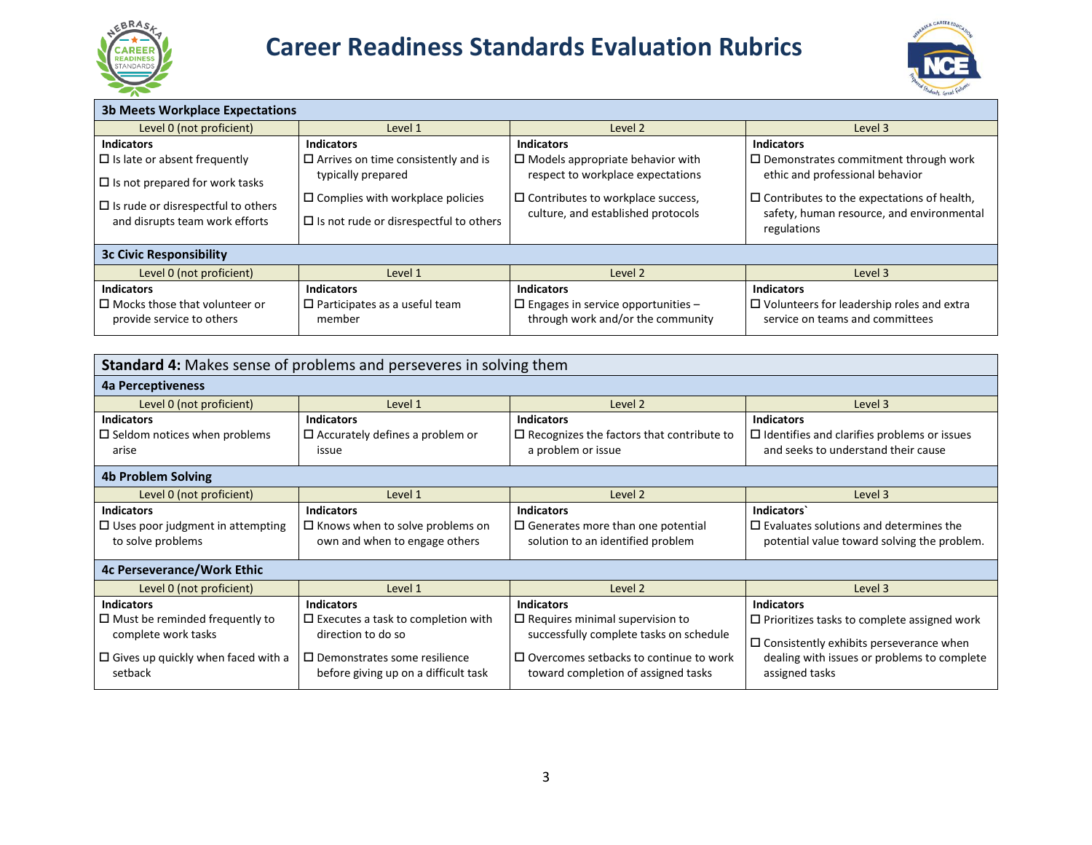

# **Career Readiness Standards Evaluation Rubrics High School Version**



| <b>3b Meets Workplace Expectations</b>    |                                               |                                           |                                                   |  |
|-------------------------------------------|-----------------------------------------------|-------------------------------------------|---------------------------------------------------|--|
| Level 0 (not proficient)                  | Level 1                                       | Level 2                                   | Level 3                                           |  |
| <b>Indicators</b>                         | <b>Indicators</b>                             | <b>Indicators</b>                         | <b>Indicators</b>                                 |  |
| $\Box$ Is late or absent frequently       | $\Box$ Arrives on time consistently and is    | $\Box$ Models appropriate behavior with   | $\Box$ Demonstrates commitment through work       |  |
| $\Box$ Is not prepared for work tasks     | typically prepared                            | respect to workplace expectations         | ethic and professional behavior                   |  |
|                                           | $\Box$ Complies with workplace policies       | $\Box$ Contributes to workplace success,  | $\Box$ Contributes to the expectations of health, |  |
| $\Box$ Is rude or disrespectful to others |                                               | culture, and established protocols        | safety, human resource, and environmental         |  |
| and disrupts team work efforts            | $\Box$ Is not rude or disrespectful to others |                                           | regulations                                       |  |
| <b>3c Civic Responsibility</b>            |                                               |                                           |                                                   |  |
| Level 0 (not proficient)                  | Level 1                                       | Level 2                                   | Level 3                                           |  |
| <b>Indicators</b>                         | <b>Indicators</b>                             | <b>Indicators</b>                         | <b>Indicators</b>                                 |  |
| $\Box$ Mocks those that volunteer or      | $\Box$ Participates as a useful team          | $\Box$ Engages in service opportunities - | $\Box$ Volunteers for leadership roles and extra  |  |
| provide service to others                 | member                                        | through work and/or the community         | service on teams and committees                   |  |

| <b>Standard 4:</b> Makes sense of problems and perseveres in solving them |                                              |                                                  |                                                    |  |
|---------------------------------------------------------------------------|----------------------------------------------|--------------------------------------------------|----------------------------------------------------|--|
| 4a Perceptiveness                                                         |                                              |                                                  |                                                    |  |
| Level 0 (not proficient)                                                  | Level 1                                      | Level 2                                          | Level 3                                            |  |
| <b>Indicators</b>                                                         | <b>Indicators</b>                            | <b>Indicators</b>                                | <b>Indicators</b>                                  |  |
| $\square$ Seldom notices when problems                                    | $\Box$ Accurately defines a problem or       | $\Box$ Recognizes the factors that contribute to | $\Box$ Identifies and clarifies problems or issues |  |
| arise                                                                     | issue                                        | a problem or issue                               | and seeks to understand their cause                |  |
| <b>4b Problem Solving</b>                                                 |                                              |                                                  |                                                    |  |
| Level 0 (not proficient)                                                  | Level 1                                      | Level 2                                          | Level 3                                            |  |
| <b>Indicators</b>                                                         | <b>Indicators</b>                            | <b>Indicators</b>                                | Indicators                                         |  |
| $\Box$ Uses poor judgment in attempting                                   | $\Box$ Knows when to solve problems on       | $\square$ Generates more than one potential      | $\Box$ Evaluates solutions and determines the      |  |
| to solve problems                                                         | own and when to engage others                | solution to an identified problem                | potential value toward solving the problem.        |  |
| <b>4c Perseverance/Work Ethic</b>                                         |                                              |                                                  |                                                    |  |
| Level 0 (not proficient)                                                  | Level 1                                      | Level 2                                          | Level 3                                            |  |
| <b>Indicators</b>                                                         | <b>Indicators</b>                            | <b>Indicators</b>                                | <b>Indicators</b>                                  |  |
| $\Box$ Must be reminded frequently to                                     | $\square$ Executes a task to completion with | $\Box$ Requires minimal supervision to           | $\Box$ Prioritizes tasks to complete assigned work |  |
| complete work tasks                                                       | direction to do so                           | successfully complete tasks on schedule          | $\Box$ Consistently exhibits perseverance when     |  |
| $\Box$ Gives up quickly when faced with a                                 | $\Box$ Demonstrates some resilience          | $\Box$ Overcomes setbacks to continue to work    | dealing with issues or problems to complete        |  |
| setback                                                                   | before giving up on a difficult task         | toward completion of assigned tasks              | assigned tasks                                     |  |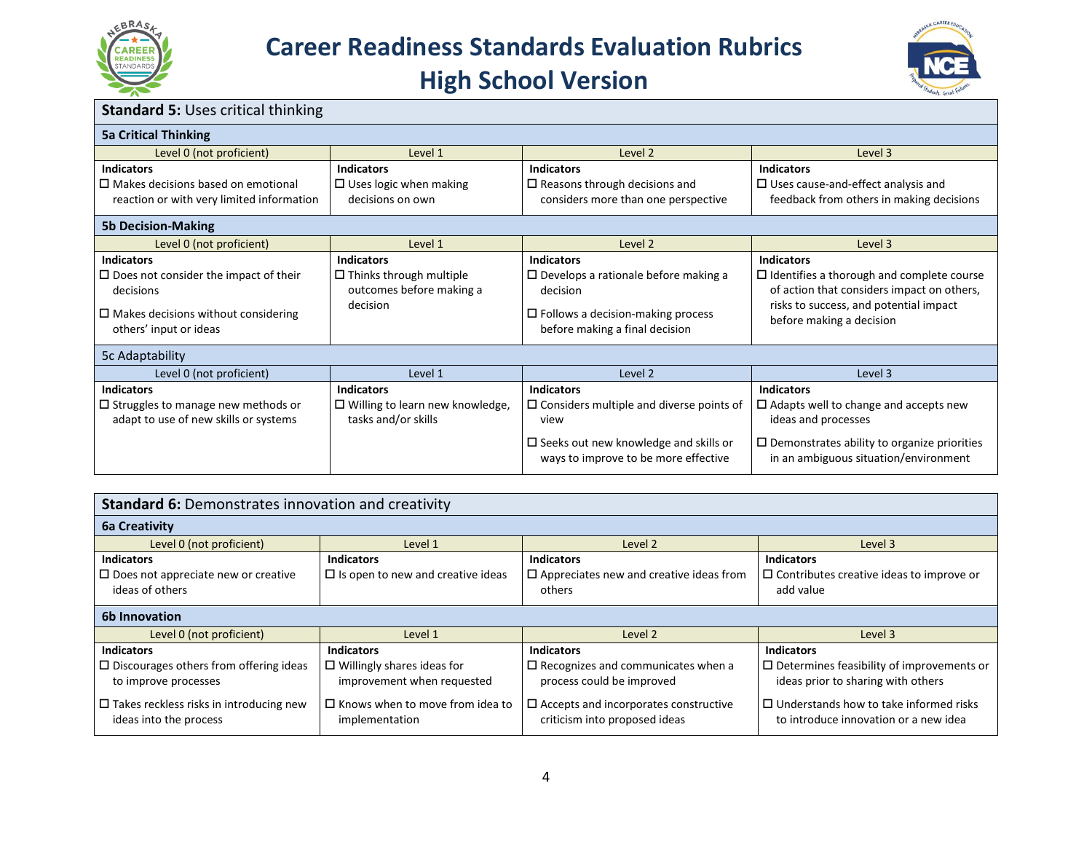



| <b>Standard 5: Uses critical thinking</b>                                                                                                                 |                                                                                             |                                                                                                                                                                            |                                                                                                                                                                                           |  |
|-----------------------------------------------------------------------------------------------------------------------------------------------------------|---------------------------------------------------------------------------------------------|----------------------------------------------------------------------------------------------------------------------------------------------------------------------------|-------------------------------------------------------------------------------------------------------------------------------------------------------------------------------------------|--|
| <b>5a Critical Thinking</b>                                                                                                                               |                                                                                             |                                                                                                                                                                            |                                                                                                                                                                                           |  |
| Level 0 (not proficient)                                                                                                                                  | Level 1                                                                                     | Level 2                                                                                                                                                                    | Level 3                                                                                                                                                                                   |  |
| <b>Indicators</b><br>$\square$ Makes decisions based on emotional<br>reaction or with very limited information                                            | <b>Indicators</b><br>$\square$ Uses logic when making<br>decisions on own                   | <b>Indicators</b><br>$\square$ Reasons through decisions and<br>considers more than one perspective                                                                        | <b>Indicators</b><br>$\Box$ Uses cause-and-effect analysis and<br>feedback from others in making decisions                                                                                |  |
| <b>5b Decision-Making</b>                                                                                                                                 |                                                                                             |                                                                                                                                                                            |                                                                                                                                                                                           |  |
| Level 0 (not proficient)                                                                                                                                  | Level 1                                                                                     | Level 2                                                                                                                                                                    | Level 3                                                                                                                                                                                   |  |
| <b>Indicators</b><br>$\square$ Does not consider the impact of their<br>decisions<br>$\Box$ Makes decisions without considering<br>others' input or ideas | <b>Indicators</b><br>$\Box$ Thinks through multiple<br>outcomes before making a<br>decision | <b>Indicators</b><br>$\Box$ Develops a rationale before making a<br>decision<br>$\Box$ Follows a decision-making process<br>before making a final decision                 | <b>Indicators</b><br>$\Box$ Identifies a thorough and complete course<br>of action that considers impact on others,<br>risks to success, and potential impact<br>before making a decision |  |
| 5c Adaptability                                                                                                                                           |                                                                                             |                                                                                                                                                                            |                                                                                                                                                                                           |  |
| Level 0 (not proficient)                                                                                                                                  | Level 1                                                                                     | Level 2                                                                                                                                                                    | Level 3                                                                                                                                                                                   |  |
| <b>Indicators</b><br>$\square$ Struggles to manage new methods or<br>adapt to use of new skills or systems                                                | <b>Indicators</b><br>$\square$ Willing to learn new knowledge,<br>tasks and/or skills       | <b>Indicators</b><br>$\square$ Considers multiple and diverse points of<br>view<br>$\square$ Seeks out new knowledge and skills or<br>ways to improve to be more effective | <b>Indicators</b><br>$\Box$ Adapts well to change and accepts new<br>ideas and processes<br>$\Box$ Demonstrates ability to organize priorities<br>in an ambiguous situation/environment   |  |

| <b>Standard 6: Demonstrates innovation and creativity</b>                                  |                                                                                      |                                                                                                |                                                                                                             |  |  |
|--------------------------------------------------------------------------------------------|--------------------------------------------------------------------------------------|------------------------------------------------------------------------------------------------|-------------------------------------------------------------------------------------------------------------|--|--|
| <b>6a Creativity</b>                                                                       |                                                                                      |                                                                                                |                                                                                                             |  |  |
| Level 0 (not proficient)                                                                   | Level 1                                                                              | Level 2                                                                                        | Level 3                                                                                                     |  |  |
| <b>Indicators</b><br>$\Box$ Does not appreciate new or creative<br>ideas of others         | <b>Indicators</b><br>$\Box$ Is open to new and creative ideas                        | <b>Indicators</b><br>$\square$ Appreciates new and creative ideas from<br>others               | <b>Indicators</b><br>$\Box$ Contributes creative ideas to improve or<br>add value                           |  |  |
| 6b Innovation                                                                              |                                                                                      |                                                                                                |                                                                                                             |  |  |
| Level 0 (not proficient)                                                                   | Level 1                                                                              | Level 2                                                                                        | Level 3                                                                                                     |  |  |
| <b>Indicators</b><br>$\Box$ Discourages others from offering ideas<br>to improve processes | <b>Indicators</b><br>$\Box$ Willingly shares ideas for<br>improvement when requested | <b>Indicators</b><br>$\square$ Recognizes and communicates when a<br>process could be improved | <b>Indicators</b><br>$\Box$ Determines feasibility of improvements or<br>ideas prior to sharing with others |  |  |
| $\Box$ Takes reckless risks in introducing new<br>ideas into the process                   | $\Box$ Knows when to move from idea to<br>implementation                             | $\square$ Accepts and incorporates constructive<br>criticism into proposed ideas               | $\Box$ Understands how to take informed risks<br>to introduce innovation or a new idea                      |  |  |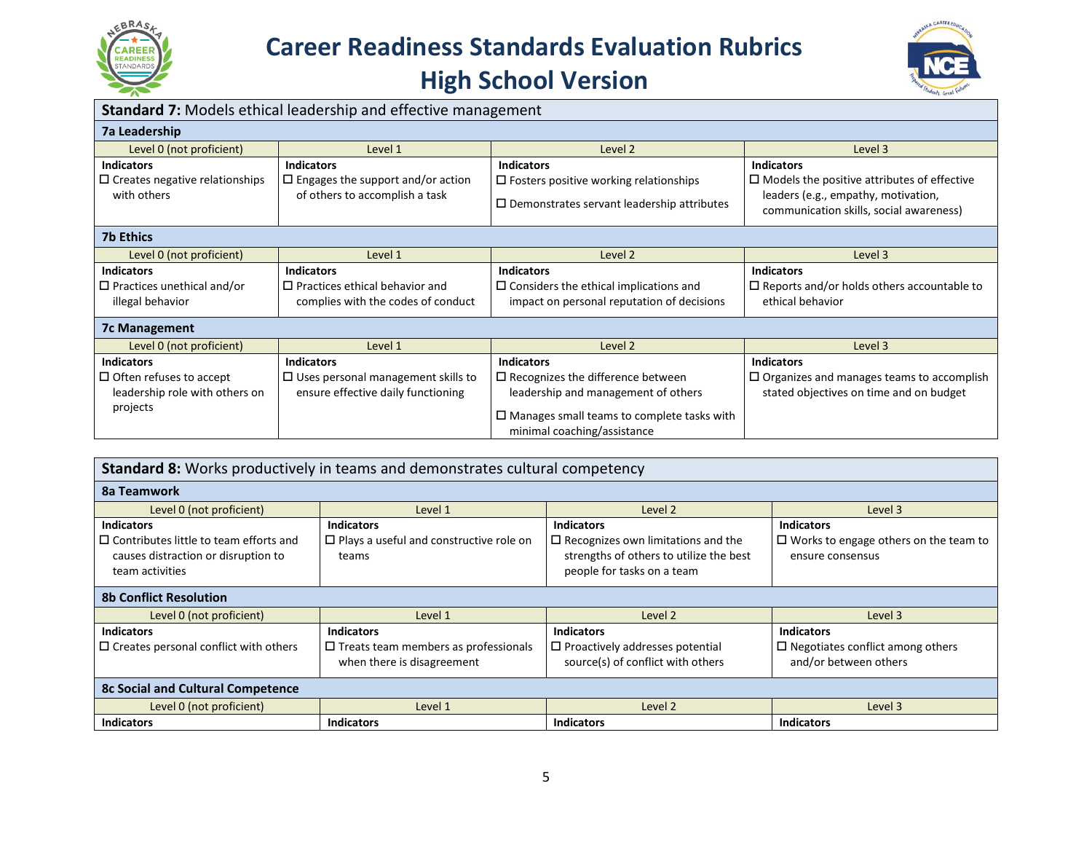

## **Career Readiness Standards Evaluation Rubrics High School Version**



| <b>Standard 7:</b> Models ethical leadership and effective management |                                                   |                                                                                  |  |  |
|-----------------------------------------------------------------------|---------------------------------------------------|----------------------------------------------------------------------------------|--|--|
| <b>7a Leadership</b>                                                  |                                                   |                                                                                  |  |  |
| Level 1                                                               | Level 2                                           | Level 3                                                                          |  |  |
| <b>Indicators</b>                                                     | <b>Indicators</b>                                 | <b>Indicators</b>                                                                |  |  |
| $\square$ Engages the support and/or action                           | $\Box$ Fosters positive working relationships     | $\Box$ Models the positive attributes of effective                               |  |  |
| of others to accomplish a task                                        | $\Box$ Demonstrates servant leadership attributes | leaders (e.g., empathy, motivation,<br>communication skills, social awareness)   |  |  |
|                                                                       |                                                   |                                                                                  |  |  |
| Level 1                                                               | Level 2                                           | Level 3                                                                          |  |  |
| <b>Indicators</b>                                                     | <b>Indicators</b>                                 | <b>Indicators</b>                                                                |  |  |
| $\Box$ Practices ethical behavior and                                 | $\Box$ Considers the ethical implications and     | $\Box$ Reports and/or holds others accountable to                                |  |  |
| complies with the codes of conduct                                    | impact on personal reputation of decisions        | ethical behavior                                                                 |  |  |
|                                                                       |                                                   |                                                                                  |  |  |
| Level 1                                                               | Level 2                                           | Level 3                                                                          |  |  |
| <b>Indicators</b>                                                     | <b>Indicators</b>                                 | <b>Indicators</b>                                                                |  |  |
| $\Box$ Uses personal management skills to                             | $\Box$ Recognizes the difference between          | $\Box$ Organizes and manages teams to accomplish                                 |  |  |
| ensure effective daily functioning                                    | leadership and management of others               | stated objectives on time and on budget                                          |  |  |
|                                                                       |                                                   |                                                                                  |  |  |
|                                                                       |                                                   |                                                                                  |  |  |
|                                                                       |                                                   | $\Box$ Manages small teams to complete tasks with<br>minimal coaching/assistance |  |  |

| <b>Standard 8:</b> Works productively in teams and demonstrates cultural competency |                                                |                                              |                                              |
|-------------------------------------------------------------------------------------|------------------------------------------------|----------------------------------------------|----------------------------------------------|
| 8a Teamwork                                                                         |                                                |                                              |                                              |
| Level 0 (not proficient)                                                            | Level 1                                        | Level 2                                      | Level 3                                      |
| <b>Indicators</b>                                                                   | <b>Indicators</b>                              | <b>Indicators</b>                            | <b>Indicators</b>                            |
| $\Box$ Contributes little to team efforts and                                       | $\Box$ Plays a useful and constructive role on | $\square$ Recognizes own limitations and the | $\Box$ Works to engage others on the team to |
| causes distraction or disruption to                                                 | teams                                          | strengths of others to utilize the best      | ensure consensus                             |
| team activities                                                                     |                                                | people for tasks on a team                   |                                              |
| <b>8b Conflict Resolution</b>                                                       |                                                |                                              |                                              |
| Level 0 (not proficient)                                                            | Level 1                                        | Level 2                                      | Level 3                                      |
| <b>Indicators</b>                                                                   | <b>Indicators</b>                              | <b>Indicators</b>                            | <b>Indicators</b>                            |
| $\Box$ Creates personal conflict with others                                        | $\square$ Treats team members as professionals | $\Box$ Proactively addresses potential       | $\Box$ Negotiates conflict among others      |
|                                                                                     | when there is disagreement                     | source(s) of conflict with others            | and/or between others                        |
| <b>8c Social and Cultural Competence</b>                                            |                                                |                                              |                                              |
| Level 0 (not proficient)                                                            | Level 1                                        | Level 2                                      | Level 3                                      |
| <b>Indicators</b>                                                                   | <b>Indicators</b>                              | <b>Indicators</b>                            | <b>Indicators</b>                            |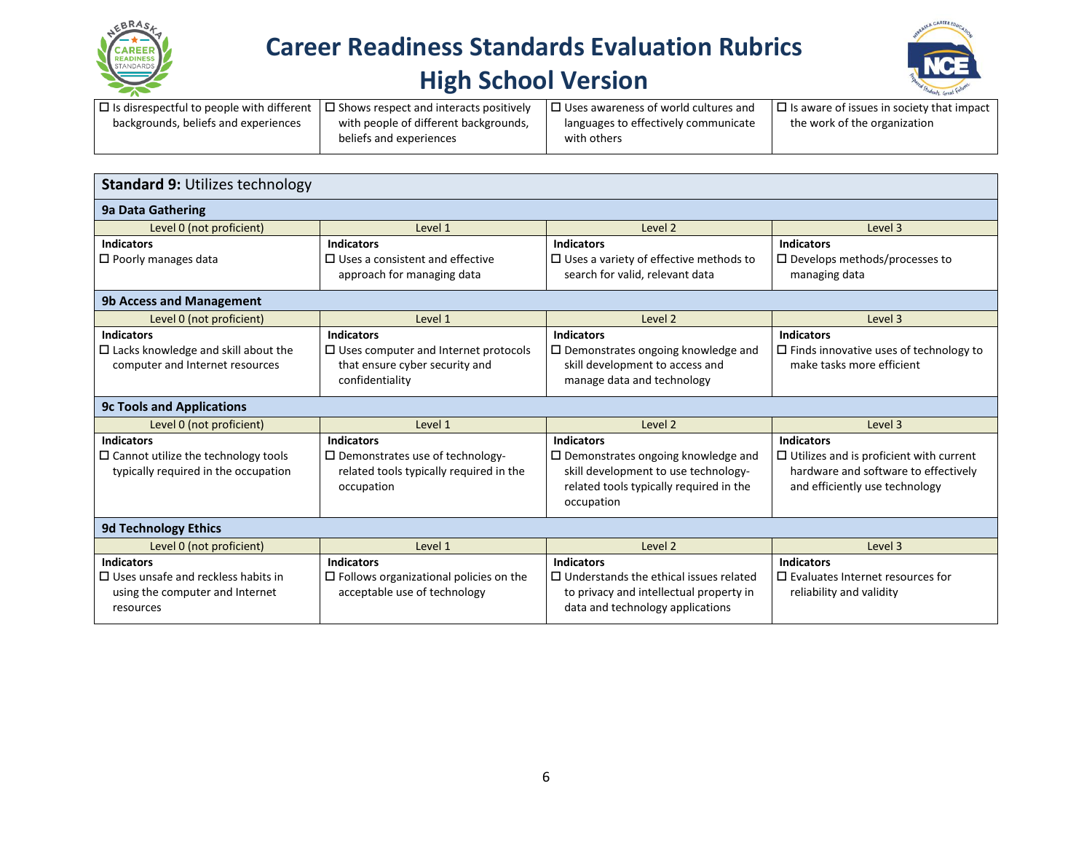

# **Career Readiness Standards Evaluation Rubrics**

### **High School Version**



| $\Box$ Is disrespectful to people with different $\Box$ Shows respect and interacts positively |                                       | $\Box$ Uses awareness of world cultures and | $\Box$ Is aware of issues in society that impact |
|------------------------------------------------------------------------------------------------|---------------------------------------|---------------------------------------------|--------------------------------------------------|
| backgrounds, beliefs and experiences                                                           | with people of different backgrounds, | languages to effectively communicate        | the work of the organization                     |
|                                                                                                | beliefs and experiences               | with others                                 |                                                  |

| <b>Standard 9: Utilizes technology</b>     |                                               |                                                                             |                                                |  |
|--------------------------------------------|-----------------------------------------------|-----------------------------------------------------------------------------|------------------------------------------------|--|
| <b>9a Data Gathering</b>                   |                                               |                                                                             |                                                |  |
| Level 0 (not proficient)                   | Level 1                                       | Level 2                                                                     | Level 3                                        |  |
| <b>Indicators</b>                          | <b>Indicators</b>                             | <b>Indicators</b>                                                           | <b>Indicators</b>                              |  |
| $\Box$ Poorly manages data                 | $\Box$ Uses a consistent and effective        | $\square$ Uses a variety of effective methods to                            | $\square$ Develops methods/processes to        |  |
|                                            | approach for managing data                    | search for valid, relevant data                                             | managing data                                  |  |
| <b>9b Access and Management</b>            |                                               |                                                                             |                                                |  |
| Level 0 (not proficient)                   | Level 1                                       | Level 2                                                                     | Level 3                                        |  |
| <b>Indicators</b>                          | <b>Indicators</b>                             | <b>Indicators</b>                                                           | <b>Indicators</b>                              |  |
| $\Box$ Lacks knowledge and skill about the | $\Box$ Uses computer and Internet protocols   | $\Box$ Demonstrates ongoing knowledge and                                   | $\Box$ Finds innovative uses of technology to  |  |
| computer and Internet resources            | that ensure cyber security and                | skill development to access and                                             | make tasks more efficient                      |  |
|                                            | confidentiality                               | manage data and technology                                                  |                                                |  |
|                                            |                                               |                                                                             |                                                |  |
| <b>9c Tools and Applications</b>           |                                               |                                                                             |                                                |  |
| Level 0 (not proficient)                   | Level 1                                       | Level 2                                                                     | Level 3                                        |  |
| <b>Indicators</b>                          | <b>Indicators</b>                             | <b>Indicators</b>                                                           | <b>Indicators</b>                              |  |
| $\Box$ Cannot utilize the technology tools | $\Box$ Demonstrates use of technology-        | $\Box$ Demonstrates ongoing knowledge and                                   | $\Box$ Utilizes and is proficient with current |  |
| typically required in the occupation       | related tools typically required in the       | skill development to use technology-                                        | hardware and software to effectively           |  |
|                                            | occupation                                    | related tools typically required in the                                     | and efficiently use technology                 |  |
|                                            |                                               | occupation                                                                  |                                                |  |
| <b>9d Technology Ethics</b>                |                                               |                                                                             |                                                |  |
| Level 0 (not proficient)                   | Level 1                                       | Level 2                                                                     | Level 3                                        |  |
| <b>Indicators</b>                          | <b>Indicators</b>                             | <b>Indicators</b>                                                           | <b>Indicators</b>                              |  |
| $\Box$ Uses unsafe and reckless habits in  | $\Box$ Follows organizational policies on the | $\Box$ Understands the ethical issues related                               | $\Box$ Evaluates Internet resources for        |  |
| using the computer and Internet            | acceptable use of technology                  | to privacy and intellectual property in<br>data and technology applications | reliability and validity                       |  |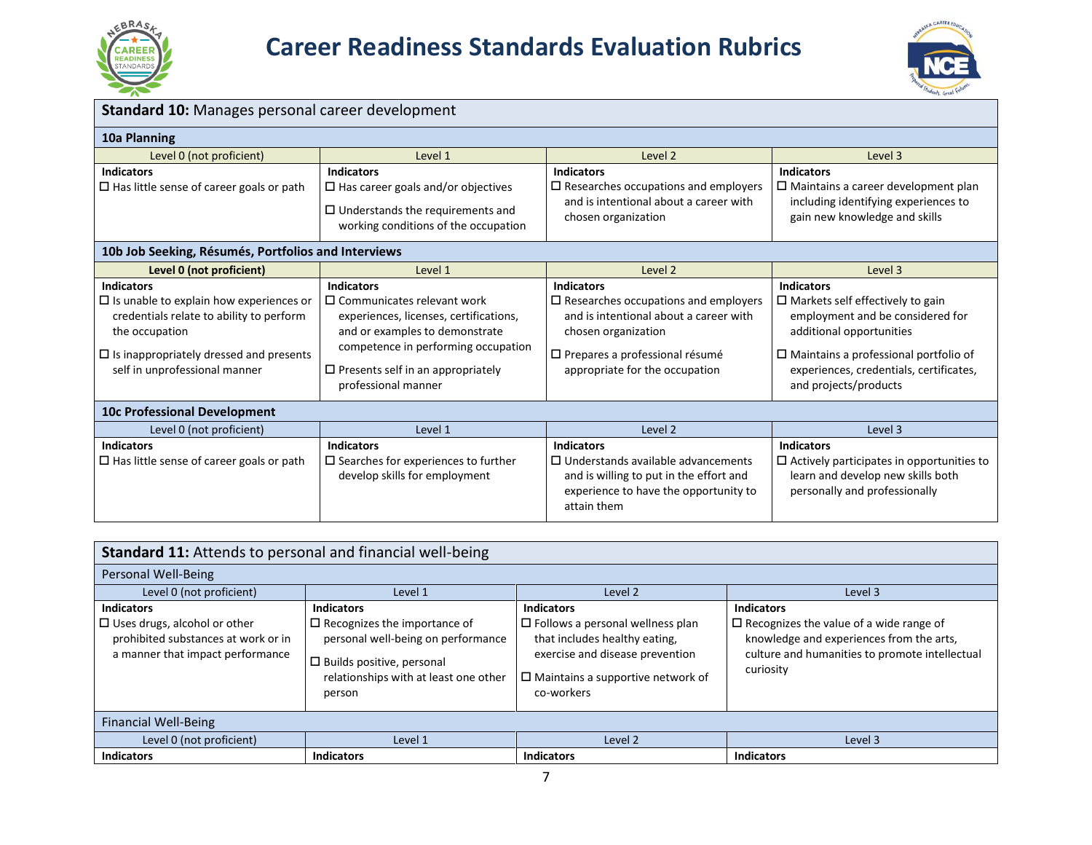



| Standard 10: Manages personal career development                                                                                                                                                                     |                                                                                                                                                                                                                                                 |                                                                                                                                                                                                            |                                                                                                                                                                                                                                                  |
|----------------------------------------------------------------------------------------------------------------------------------------------------------------------------------------------------------------------|-------------------------------------------------------------------------------------------------------------------------------------------------------------------------------------------------------------------------------------------------|------------------------------------------------------------------------------------------------------------------------------------------------------------------------------------------------------------|--------------------------------------------------------------------------------------------------------------------------------------------------------------------------------------------------------------------------------------------------|
| 10a Planning                                                                                                                                                                                                         |                                                                                                                                                                                                                                                 |                                                                                                                                                                                                            |                                                                                                                                                                                                                                                  |
| Level 0 (not proficient)                                                                                                                                                                                             | Level 1                                                                                                                                                                                                                                         | Level 2                                                                                                                                                                                                    | Level 3                                                                                                                                                                                                                                          |
| <b>Indicators</b><br>$\Box$ Has little sense of career goals or path                                                                                                                                                 | <b>Indicators</b><br>$\Box$ Has career goals and/or objectives<br>$\Box$ Understands the requirements and<br>working conditions of the occupation                                                                                               | <b>Indicators</b><br>$\square$ Researches occupations and employers<br>and is intentional about a career with<br>chosen organization                                                                       | <b>Indicators</b><br>$\Box$ Maintains a career development plan<br>including identifying experiences to<br>gain new knowledge and skills                                                                                                         |
| 10b Job Seeking, Résumés, Portfolios and Interviews                                                                                                                                                                  |                                                                                                                                                                                                                                                 |                                                                                                                                                                                                            |                                                                                                                                                                                                                                                  |
| Level 0 (not proficient)                                                                                                                                                                                             | Level 1                                                                                                                                                                                                                                         | Level 2                                                                                                                                                                                                    | Level 3                                                                                                                                                                                                                                          |
| <b>Indicators</b><br>$\Box$ Is unable to explain how experiences or<br>credentials relate to ability to perform<br>the occupation<br>$\Box$ Is inappropriately dressed and presents<br>self in unprofessional manner | <b>Indicators</b><br>$\square$ Communicates relevant work<br>experiences, licenses, certifications,<br>and or examples to demonstrate<br>competence in performing occupation<br>$\Box$ Presents self in an appropriately<br>professional manner | <b>Indicators</b><br>$\square$ Researches occupations and employers<br>and is intentional about a career with<br>chosen organization<br>□ Prepares a professional résumé<br>appropriate for the occupation | <b>Indicators</b><br>$\Box$ Markets self effectively to gain<br>employment and be considered for<br>additional opportunities<br>$\Box$ Maintains a professional portfolio of<br>experiences, credentials, certificates,<br>and projects/products |
| <b>10c Professional Development</b>                                                                                                                                                                                  |                                                                                                                                                                                                                                                 |                                                                                                                                                                                                            |                                                                                                                                                                                                                                                  |
| Level 0 (not proficient)                                                                                                                                                                                             | Level 1                                                                                                                                                                                                                                         | Level 2                                                                                                                                                                                                    | Level 3                                                                                                                                                                                                                                          |
| <b>Indicators</b><br>$\Box$ Has little sense of career goals or path                                                                                                                                                 | <b>Indicators</b><br>$\square$ Searches for experiences to further<br>develop skills for employment                                                                                                                                             | <b>Indicators</b><br>$\Box$ Understands available advancements<br>and is willing to put in the effort and<br>experience to have the opportunity to<br>attain them                                          | <b>Indicators</b><br>$\Box$ Actively participates in opportunities to<br>learn and develop new skills both<br>personally and professionally                                                                                                      |

| Standard 11: Attends to personal and financial well-being                                                                           |                                                                                                                                                                                          |                                                                                                                                                                                            |                                                                                                                                                                                |  |  |  |
|-------------------------------------------------------------------------------------------------------------------------------------|------------------------------------------------------------------------------------------------------------------------------------------------------------------------------------------|--------------------------------------------------------------------------------------------------------------------------------------------------------------------------------------------|--------------------------------------------------------------------------------------------------------------------------------------------------------------------------------|--|--|--|
| Personal Well-Being                                                                                                                 |                                                                                                                                                                                          |                                                                                                                                                                                            |                                                                                                                                                                                |  |  |  |
| Level 0 (not proficient)                                                                                                            | Level 1<br>Level 2<br>Level 3                                                                                                                                                            |                                                                                                                                                                                            |                                                                                                                                                                                |  |  |  |
| <b>Indicators</b><br>$\Box$ Uses drugs, alcohol or other<br>prohibited substances at work or in<br>a manner that impact performance | <b>Indicators</b><br>$\Box$ Recognizes the importance of<br>personal well-being on performance<br>$\square$ Builds positive, personal<br>relationships with at least one other<br>person | <b>Indicators</b><br>$\Box$ Follows a personal wellness plan<br>that includes healthy eating,<br>exercise and disease prevention<br>$\Box$ Maintains a supportive network of<br>co-workers | <b>Indicators</b><br>$\Box$ Recognizes the value of a wide range of<br>knowledge and experiences from the arts,<br>culture and humanities to promote intellectual<br>curiosity |  |  |  |
| <b>Financial Well-Being</b>                                                                                                         |                                                                                                                                                                                          |                                                                                                                                                                                            |                                                                                                                                                                                |  |  |  |
| Level 0 (not proficient)                                                                                                            | Level 1                                                                                                                                                                                  | Level 2                                                                                                                                                                                    | Level 3                                                                                                                                                                        |  |  |  |
| <b>Indicators</b>                                                                                                                   | <b>Indicators</b>                                                                                                                                                                        | <b>Indicators</b>                                                                                                                                                                          | <b>Indicators</b>                                                                                                                                                              |  |  |  |